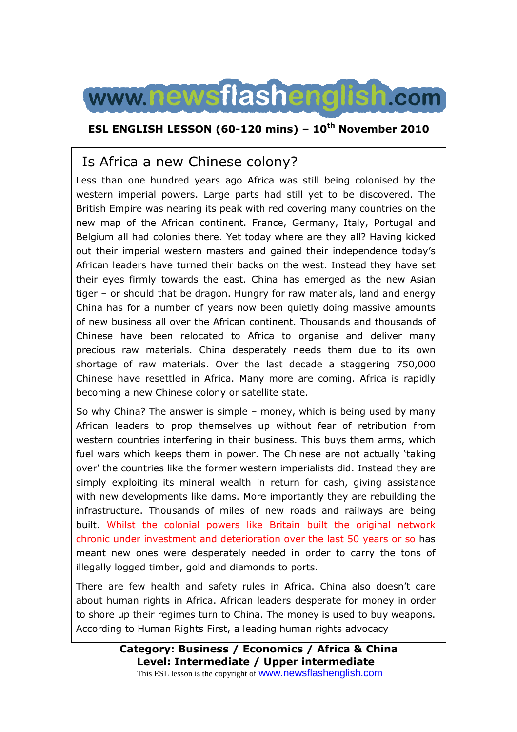

### **ESL ENGLISH LESSON (60-120 mins) – 10th November 2010**

# Is Africa a new Chinese colony?

Less than one hundred years ago Africa was still being colonised by the western imperial powers. Large parts had still yet to be discovered. The British Empire was nearing its peak with red covering many countries on the new map of the African continent. France, Germany, Italy, Portugal and Belgium all had colonies there. Yet today where are they all? Having kicked out their imperial western masters and gained their independence today's African leaders have turned their backs on the west. Instead they have set their eyes firmly towards the east. China has emerged as the new Asian tiger – or should that be dragon. Hungry for raw materials, land and energy China has for a number of years now been quietly doing massive amounts of new business all over the African continent. Thousands and thousands of Chinese have been relocated to Africa to organise and deliver many precious raw materials. China desperately needs them due to its own shortage of raw materials. Over the last decade a staggering 750,000 Chinese have resettled in Africa. Many more are coming. Africa is rapidly becoming a new Chinese colony or satellite state.

So why China? The answer is simple – money, which is being used by many African leaders to prop themselves up without fear of retribution from western countries interfering in their business. This buys them arms, which fuel wars which keeps them in power. The Chinese are not actually 'taking over' the countries like the former western imperialists did. Instead they are simply exploiting its mineral wealth in return for cash, giving assistance with new developments like dams. More importantly they are rebuilding the infrastructure. Thousands of miles of new roads and railways are being built. Whilst the colonial powers like Britain built the original network chronic under investment and deterioration over the last 50 years or so has meant new ones were desperately needed in order to carry the tons of illegally logged timber, gold and diamonds to ports.

There are few health and safety rules in Africa. China also doesn't care about human rights in Africa. African leaders desperate for money in order to shore up their regimes turn to China. The money is used to buy weapons. According to Human Rights First, a leading human rights advocacy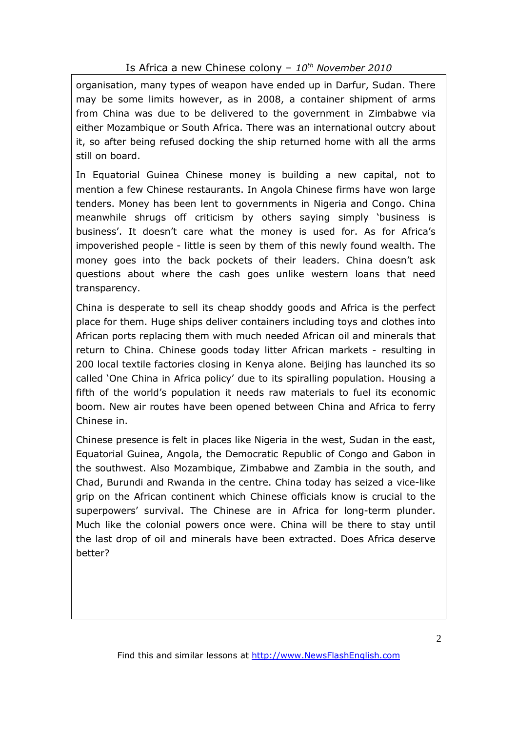### Is Africa a new Chinese colony – *10th November 2010*

organisation, many types of weapon have ended up in Darfur, Sudan. There may be some limits however, as in 2008, a container shipment of arms from China was due to be delivered to the government in Zimbabwe via either Mozambique or South Africa. There was an international outcry about it, so after being refused docking the ship returned home with all the arms still on board.

In Equatorial Guinea Chinese money is building a new capital, not to mention a few Chinese restaurants. In Angola Chinese firms have won large tenders. Money has been lent to governments in Nigeria and Congo. China meanwhile shrugs off criticism by others saying simply 'business is business'. It doesn't care what the money is used for. As for Africa's impoverished people - little is seen by them of this newly found wealth. The money goes into the back pockets of their leaders. China doesn't ask questions about where the cash goes unlike western loans that need transparency.

China is desperate to sell its cheap shoddy goods and Africa is the perfect place for them. Huge ships deliver containers including toys and clothes into African ports replacing them with much needed African oil and minerals that return to China. Chinese goods today litter African markets - resulting in 200 local textile factories closing in Kenya alone. Beijing has launched its so called 'One China in Africa policy' due to its spiralling population. Housing a fifth of the world's population it needs raw materials to fuel its economic boom. New air routes have been opened between China and Africa to ferry Chinese in.

Chinese presence is felt in places like Nigeria in the west, Sudan in the east, Equatorial Guinea, Angola, the Democratic Republic of Congo and Gabon in the southwest. Also Mozambique, Zimbabwe and Zambia in the south, and Chad, Burundi and Rwanda in the centre. China today has seized a vice-like grip on the African continent which Chinese officials know is crucial to the superpowers' survival. The Chinese are in Africa for long-term plunder. Much like the colonial powers once were. China will be there to stay until the last drop of oil and minerals have been extracted. Does Africa deserve better?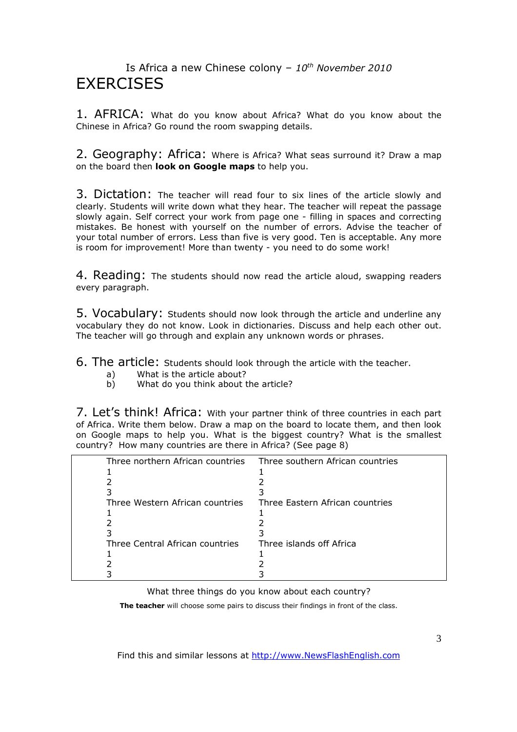## Is Africa a new Chinese colony – *10th November 2010* **EXERCISES**

1. AFRICA: What do you know about Africa? What do you know about the Chinese in Africa? Go round the room swapping details.

2. Geography: Africa: Where is Africa? What seas surround it? Draw a map on the board then **look on Google maps** to help you.

3. Dictation: The teacher will read four to six lines of the article slowly and clearly. Students will write down what they hear. The teacher will repeat the passage slowly again. Self correct your work from page one - filling in spaces and correcting mistakes. Be honest with yourself on the number of errors. Advise the teacher of your total number of errors. Less than five is very good. Ten is acceptable. Any more is room for improvement! More than twenty - you need to do some work!

4. Reading: The students should now read the article aloud, swapping readers every paragraph.

5. Vocabulary: Students should now look through the article and underline any vocabulary they do not know. Look in dictionaries. Discuss and help each other out. The teacher will go through and explain any unknown words or phrases.

6. The article: Students should look through the article with the teacher.

- a) What is the article about?
- b) What do you think about the article?

7. Let's think! Africa: With your partner think of three countries in each part of Africa. Write them below. Draw a map on the board to locate them, and then look on Google maps to help you. What is the biggest country? What is the smallest country? How many countries are there in Africa? (See page 8)

| Three southern African countries |
|----------------------------------|
|                                  |
|                                  |
|                                  |
| Three Eastern African countries  |
|                                  |
|                                  |
|                                  |
| Three islands off Africa         |
|                                  |
|                                  |
|                                  |
|                                  |

What three things do you know about each country?

**The teacher** will choose some pairs to discuss their findings in front of the class.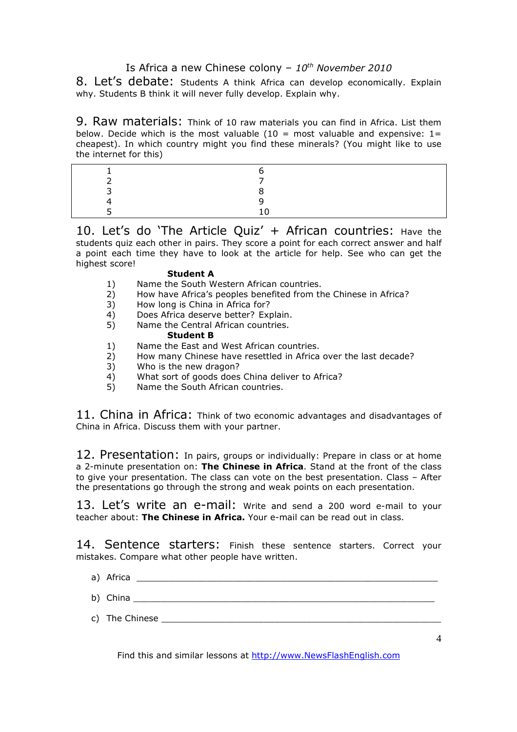### Is Africa a new Chinese colony – *10th November 2010*

8. Let's debate: Students A think Africa can develop economically. Explain why. Students B think it will never fully develop. Explain why.

9. Raw materials: Think of 10 raw materials you can find in Africa. List them below. Decide which is the most valuable  $(10 = \text{most valuable and expensive: } 1 =$ cheapest). In which country might you find these minerals? (You might like to use the internet for this)

10. Let's do 'The Article Quiz' + African countries: Have the students quiz each other in pairs. They score a point for each correct answer and half a point each time they have to look at the article for help. See who can get the highest score!

#### **Student A**

- 1) Name the South Western African countries.<br>2) How have Africa's peoples benefited from the
- 2) How have Africa's peoples benefited from the Chinese in Africa?<br>3) How long is China in Africa for?
- How long is China in Africa for?
- 4) Does Africa deserve better? Explain.
- 5) Name the Central African countries.

#### **Student B**

- 1) Name the East and West African countries.<br>2) How many Chinese have resettled in Africa
- 2) How many Chinese have resettled in Africa over the last decade?
- 3) Who is the new dragon?
- 4) What sort of goods does China deliver to Africa?<br>5) Name the South African countries.
- Name the South African countries.

11. China in Africa: Think of two economic advantages and disadvantages of China in Africa. Discuss them with your partner.

12. Presentation: In pairs, groups or individually: Prepare in class or at home a 2-minute presentation on: **The Chinese in Africa**. Stand at the front of the class to give your presentation. The class can vote on the best presentation. Class – After the presentations go through the strong and weak points on each presentation.

13. Let's write an e-mail: Write and send a 200 word e-mail to your teacher about: **The Chinese in Africa.** Your e-mail can be read out in class.

14. Sentence starters: Finish these sentence starters. Correct your mistakes. Compare what other people have written.

- a) Africa **and a substitute of the set of the set of the set of the set of the set of the set of the set of the set of the set of the set of the set of the set of the set of the set of the set of the set of the set of the**
- b) China \_\_\_\_\_\_\_\_\_\_\_\_\_\_\_\_\_\_\_\_\_\_\_\_\_\_\_\_\_\_\_\_\_\_\_\_\_\_\_\_\_\_\_\_\_\_\_\_\_\_\_\_\_\_\_\_
- c) The Chinese \_\_\_\_\_\_\_\_\_\_\_\_\_\_\_\_\_\_\_\_\_\_\_\_\_\_\_\_\_\_\_\_\_\_\_\_\_\_\_\_\_\_\_\_\_\_\_\_\_\_\_\_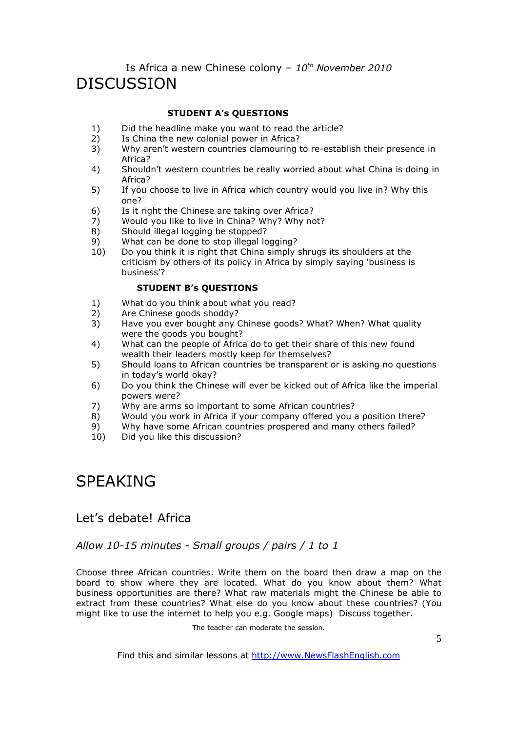## Is Africa a new Chinese colony – *10th November 2010* **DISCUSSION**

### **STUDENT A's QUESTIONS**

- 1) Did the headline make you want to read the article?
- 2) Is China the new colonial power in Africa?
- 3) Why aren't western countries clamouring to re-establish their presence in Africa?
- 4) Shouldn't western countries be really worried about what China is doing in Africa?
- 5) If you choose to live in Africa which country would you live in? Why this one?
- 6) Is it right the Chinese are taking over Africa?
- 7) Would you like to live in China? Why? Why not?
- 8) Should illegal logging be stopped?
- 9) What can be done to stop illegal logging?<br>10) Do you think it is right that China simply
- 10) Do you think it is right that China simply shrugs its shoulders at the criticism by others of its policy in Africa by simply saying 'business is business'?

### **STUDENT B's QUESTIONS**

- 1) What do you think about what you read?
- 2) Are Chinese goods shoddy?<br>3) Have you ever bought any (
- Have you ever bought any Chinese goods? What? When? What quality were the goods you bought?
- 4) What can the people of Africa do to get their share of this new found wealth their leaders mostly keep for themselves?
- 5) Should loans to African countries be transparent or is asking no questions in today's world okay?
- 6) Do you think the Chinese will ever be kicked out of Africa like the imperial powers were?
- 7) Why are arms so important to some African countries?<br>8) Would you work in Africa if your company offered you a
- Would you work in Africa if your company offered you a position there?
- 9) Why have some African countries prospered and many others failed?
- 10) Did you like this discussion?

# SPEAKING

### Let's debate! Africa

### *Allow 10-15 minutes - Small groups / pairs / 1 to 1*

Choose three African countries. Write them on the board then draw a map on the board to show where they are located. What do you know about them? What business opportunities are there? What raw materials might the Chinese be able to extract from these countries? What else do you know about these countries? (You might like to use the internet to help you e.g. Google maps) Discuss together.

The teacher can moderate the session.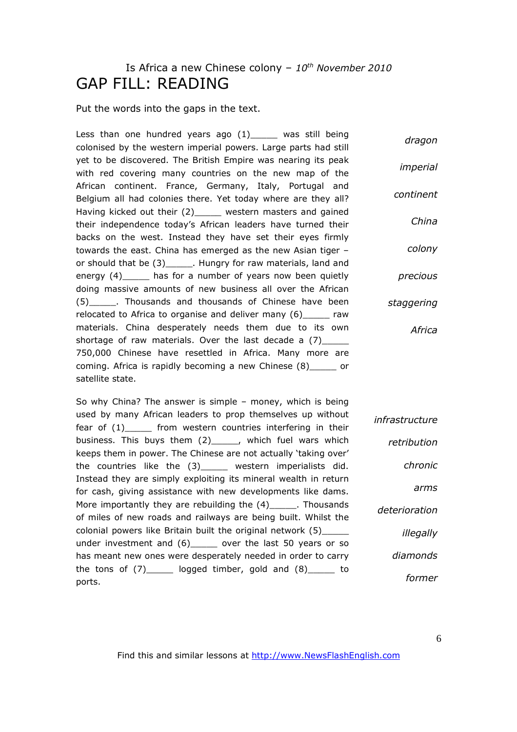# Is Africa a new Chinese colony – *10th November 2010* GAP FILL: READING

Put the words into the gaps in the text.

Less than one hundred years ago  $(1)$  was still being colonised by the western imperial powers. Large parts had still yet to be discovered. The British Empire was nearing its peak with red covering many countries on the new map of the African continent. France, Germany, Italy, Portugal and Belgium all had colonies there. Yet today where are they all? Having kicked out their (2) western masters and gained their independence today's African leaders have turned their backs on the west. Instead they have set their eyes firmly towards the east. China has emerged as the new Asian tiger – or should that be (3) Let a Hungry for raw materials, land and energy (4) has for a number of years now been quietly doing massive amounts of new business all over the African (5)\_\_\_\_\_. Thousands and thousands of Chinese have been relocated to Africa to organise and deliver many (6) raw materials. China desperately needs them due to its own shortage of raw materials. Over the last decade a  $(7)$ 750,000 Chinese have resettled in Africa. Many more are coming. Africa is rapidly becoming a new Chinese (8)\_\_\_\_\_ or satellite state. *dragon imperial continent China colony precious staggering Africa*

So why China? The answer is simple – money, which is being used by many African leaders to prop themselves up without fear of (1)\_\_\_\_\_ from western countries interfering in their business. This buys them (2)\_\_\_\_\_, which fuel wars which keeps them in power. The Chinese are not actually 'taking over' the countries like the (3)\_\_\_\_\_ western imperialists did. Instead they are simply exploiting its mineral wealth in return for cash, giving assistance with new developments like dams. More importantly they are rebuilding the  $(4)$ <sub>\_\_\_\_\_</sub>. Thousands of miles of new roads and railways are being built. Whilst the colonial powers like Britain built the original network (5)\_\_\_\_\_ under investment and (6) over the last 50 years or so has meant new ones were desperately needed in order to carry the tons of  $(7)$  logged timber, gold and  $(8)$  and ports. *infrastructure retribution chronic arms deterioration illegally diamonds former*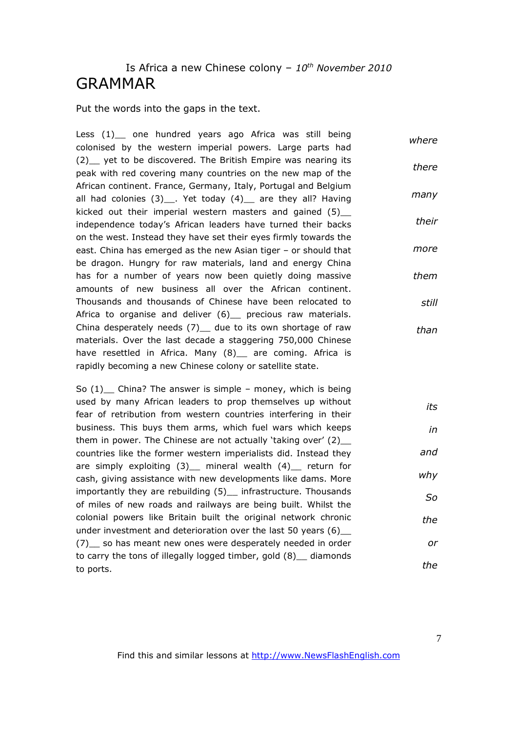## Is Africa a new Chinese colony – *10th November 2010* GRAMMAR

#### Put the words into the gaps in the text.

Less (1) one hundred years ago Africa was still being colonised by the western imperial powers. Large parts had (2) yet to be discovered. The British Empire was nearing its peak with red covering many countries on the new map of the African continent. France, Germany, Italy, Portugal and Belgium all had colonies  $(3)$ . Yet today  $(4)$  are they all? Having kicked out their imperial western masters and gained (5)\_\_ independence today's African leaders have turned their backs on the west. Instead they have set their eyes firmly towards the east. China has emerged as the new Asian tiger – or should that be dragon. Hungry for raw materials, land and energy China has for a number of years now been quietly doing massive amounts of new business all over the African continent. Thousands and thousands of Chinese have been relocated to Africa to organise and deliver (6) precious raw materials. China desperately needs  $(7)$  due to its own shortage of raw materials. Over the last decade a staggering 750,000 Chinese have resettled in Africa. Many (8) are coming. Africa is rapidly becoming a new Chinese colony or satellite state. *where there many their more them still than*

So  $(1)$  China? The answer is simple – money, which is being used by many African leaders to prop themselves up without fear of retribution from western countries interfering in their business. This buys them arms, which fuel wars which keeps them in power. The Chinese are not actually 'taking over' (2)\_\_ countries like the former western imperialists did. Instead they are simply exploiting  $(3)$  mineral wealth  $(4)$  return for cash, giving assistance with new developments like dams. More importantly they are rebuilding (5) infrastructure. Thousands of miles of new roads and railways are being built. Whilst the colonial powers like Britain built the original network chronic under investment and deterioration over the last 50 years (6)\_\_ (7)\_\_ so has meant new ones were desperately needed in order to carry the tons of illegally logged timber, gold (8)\_\_ diamonds to ports. *its in and why So the or the*